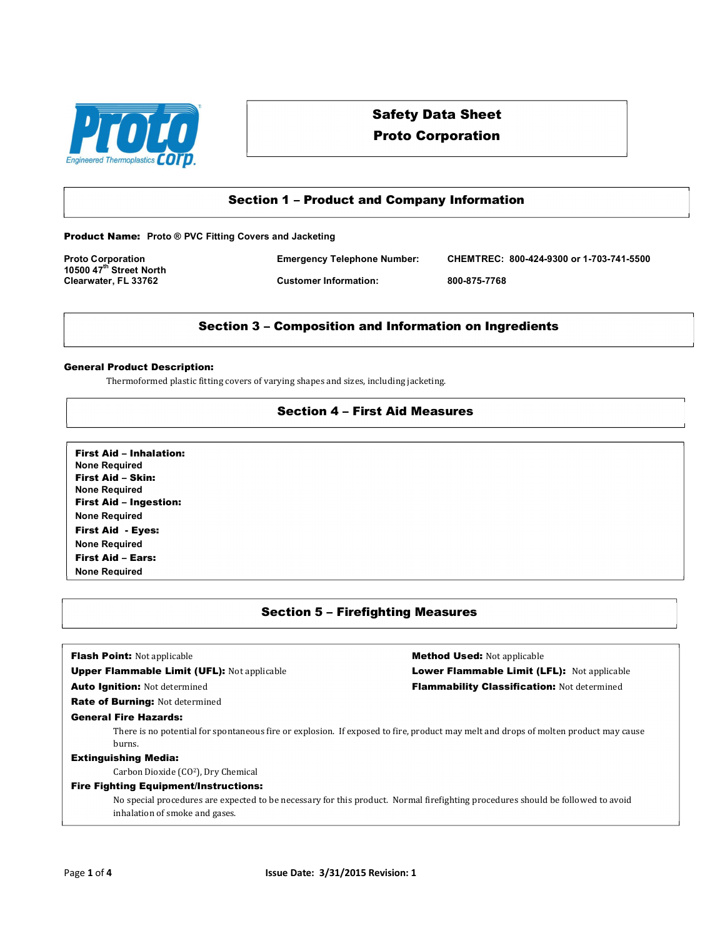

# Safety Data Sheet Proto Corporation

## Section 1 – Product and Company Information

Product Name: **Proto ® PVC Fitting Covers and Jacketing**

**10500 47th Street North Clearwater, FL 33762 Customer Information: 800-875-7768**

**Proto Corporation Emergency Telephone Number: CHEMTREC: 800-424-9300 or 1-703-741-5500**

## Section 3 – Composition and Information on Ingredients

#### General Product Description:

Thermoformed plastic fitting covers of varying shapes and sizes, including jacketing.

## Section 4 – First Aid Measures

First Aid – Inhalation: **None Required** First Aid – Skin: **None Required** First Aid – Ingestion: **None Required** First Aid - Eyes: **None Required** First Aid – Ears: **None Required**

## Section 5 – Firefighting Measures

**Flash Point:** Not applicable **Method Used:** Not applicable **Method Used:** Not applicable Upper Flammable Limit (UFL): Not applicable Lower Flammable Limit (LFL): Not applicable Auto Ignition: Not determined **Flammability Classification:** Not determined Rate of Burning: Not determined General Fire Hazards: There is no potential for spontaneous fire or explosion. If exposed to fire, product may melt and drops of molten product may cause burns. Extinguishing Media: Carbon Dioxide (CO2), Dry Chemical Fire Fighting Equipment/Instructions: No special procedures are expected to be necessary for this product. Normal firefighting procedures should be followed to avoid inhalation of smoke and gases.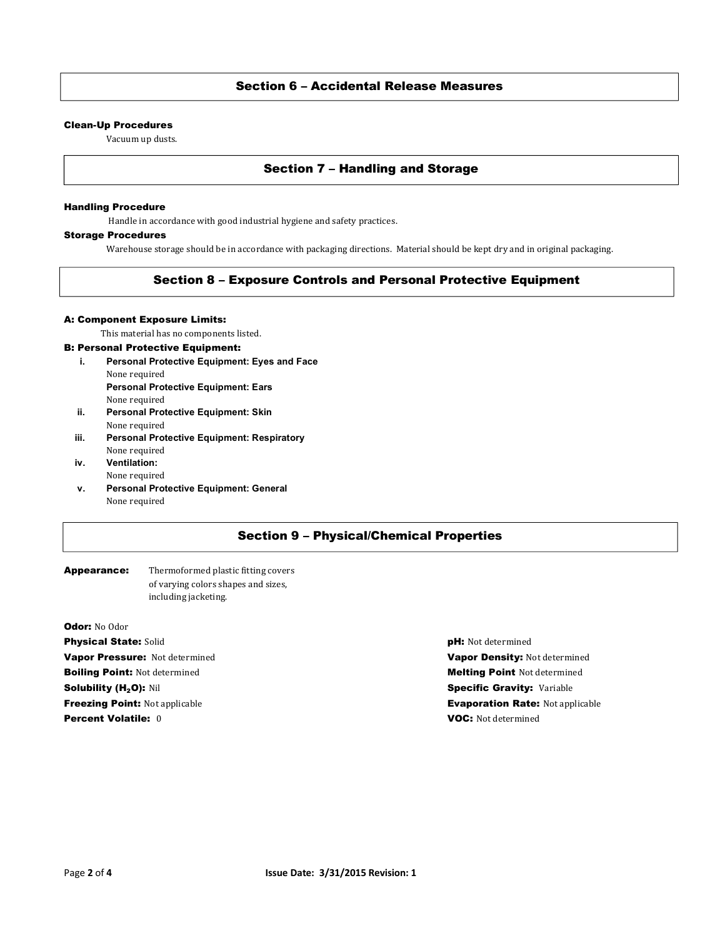## Section 6 – Accidental Release Measures

#### Clean-Up Procedures

Vacuum up dusts.

## Section 7 – Handling and Storage

#### Handling Procedure

Handle in accordance with good industrial hygiene and safety practices.

### Storage Procedures

Warehouse storage should be in accordance with packaging directions. Material should be kept dry and in original packaging.

## Section 8 – Exposure Controls and Personal Protective Equipment

#### A: Component Exposure Limits:

This material has no components listed.

#### B: Personal Protective Equipment:

- **i. Personal Protective Equipment: Eyes and Face** None required **Personal Protective Equipment: Ears**
	- None required
- **ii. Personal Protective Equipment: Skin** None required
- **iii. Personal Protective Equipment: Respiratory** None required
- **iv. Ventilation:**  None required
- **v. Personal Protective Equipment: General** None required

## Section 9 – Physical/Chemical Properties

### Appearance: Thermoformed plastic fitting covers of varying colors shapes and sizes, including jacketing.

Odor: No Odor **Physical State:** Solid **pH: Not determined pH: Not determined** Vapor Pressure: Not determined Vapor Density: Not determined **Boiling Point:** Not determined and Melting Point Not determined Melting Point Not determined Solubility (H<sub>2</sub>O): Nil Specific Gravity: Variable Specific Gravity: Variable **Percent Volatile:** 0 **VOC:** Not determined

**Freezing Point:** Not applicable **Evaporation Rate:** Not applicable **Evaporation Rate:** Not applicable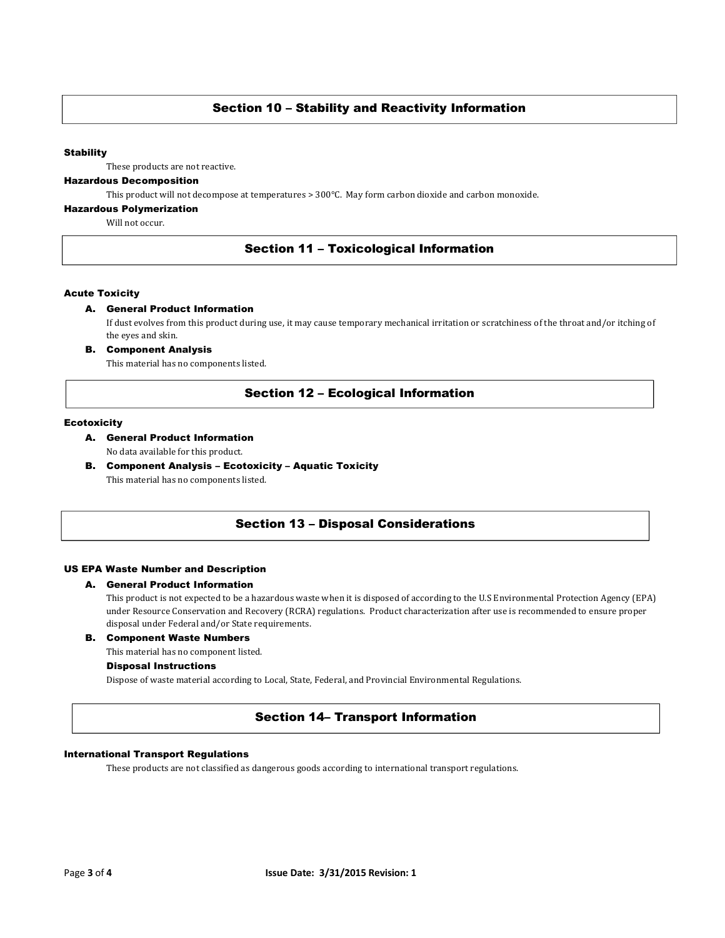## Section 10 – Stability and Reactivity Information

#### **Stability**

These products are not reactive.

## Hazardous Decomposition

This product will not decompose at temperatures > 300°C. May form carbon dioxide and carbon monoxide.

#### Hazardous Polymerization

Will not occur.

## Section 11 – Toxicological Information

#### Acute Toxicity

#### A. General Product Information

If dust evolves from this product during use, it may cause temporary mechanical irritation or scratchiness of the throat and/or itching of the eyes and skin.

B. Component Analysis

This material has no components listed.

## Section 12 – Ecological Information

#### **Ecotoxicity**

- A. General Product Information No data available for this product.
- B. Component Analysis Ecotoxicity Aquatic Toxicity This material has no components listed.

### Section 13 – Disposal Considerations

#### US EPA Waste Number and Description

#### A. General Product Information

This product is not expected to be a hazardous waste when it is disposed of according to the U.S Environmental Protection Agency (EPA) under Resource Conservation and Recovery (RCRA) regulations. Product characterization after use is recommended to ensure proper disposal under Federal and/or State requirements.

### B. Component Waste Numbers

This material has no component listed.

#### Disposal Instructions

Dispose of waste material according to Local, State, Federal, and Provincial Environmental Regulations.

## Section 14– Transport Information

#### International Transport Regulations

These products are not classified as dangerous goods according to international transport regulations.